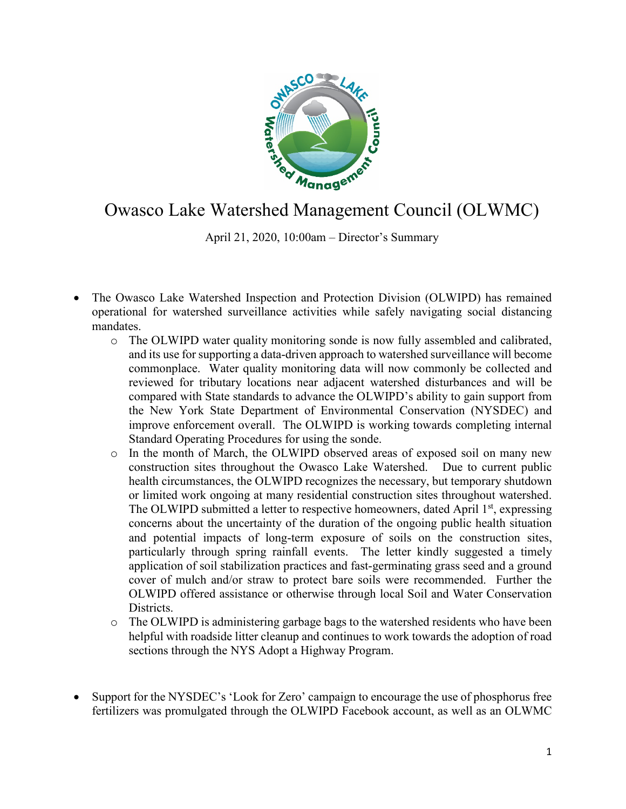

## Owasco Lake Watershed Management Council (OLWMC)

April 21, 2020, 10:00am – Director's Summary

- The Owasco Lake Watershed Inspection and Protection Division (OLWIPD) has remained operational for watershed surveillance activities while safely navigating social distancing mandates.
	- o The OLWIPD water quality monitoring sonde is now fully assembled and calibrated, and its use for supporting a data-driven approach to watershed surveillance will become commonplace. Water quality monitoring data will now commonly be collected and reviewed for tributary locations near adjacent watershed disturbances and will be compared with State standards to advance the OLWIPD's ability to gain support from the New York State Department of Environmental Conservation (NYSDEC) and improve enforcement overall. The OLWIPD is working towards completing internal Standard Operating Procedures for using the sonde.
	- o In the month of March, the OLWIPD observed areas of exposed soil on many new construction sites throughout the Owasco Lake Watershed. Due to current public health circumstances, the OLWIPD recognizes the necessary, but temporary shutdown or limited work ongoing at many residential construction sites throughout watershed. The OLWIPD submitted a letter to respective homeowners, dated April  $1<sup>st</sup>$ , expressing concerns about the uncertainty of the duration of the ongoing public health situation and potential impacts of long-term exposure of soils on the construction sites, particularly through spring rainfall events. The letter kindly suggested a timely application of soil stabilization practices and fast-germinating grass seed and a ground cover of mulch and/or straw to protect bare soils were recommended. Further the OLWIPD offered assistance or otherwise through local Soil and Water Conservation Districts.
	- o The OLWIPD is administering garbage bags to the watershed residents who have been helpful with roadside litter cleanup and continues to work towards the adoption of road sections through the NYS Adopt a Highway Program.
- Support for the NYSDEC's 'Look for Zero' campaign to encourage the use of phosphorus free fertilizers was promulgated through the OLWIPD Facebook account, as well as an OLWMC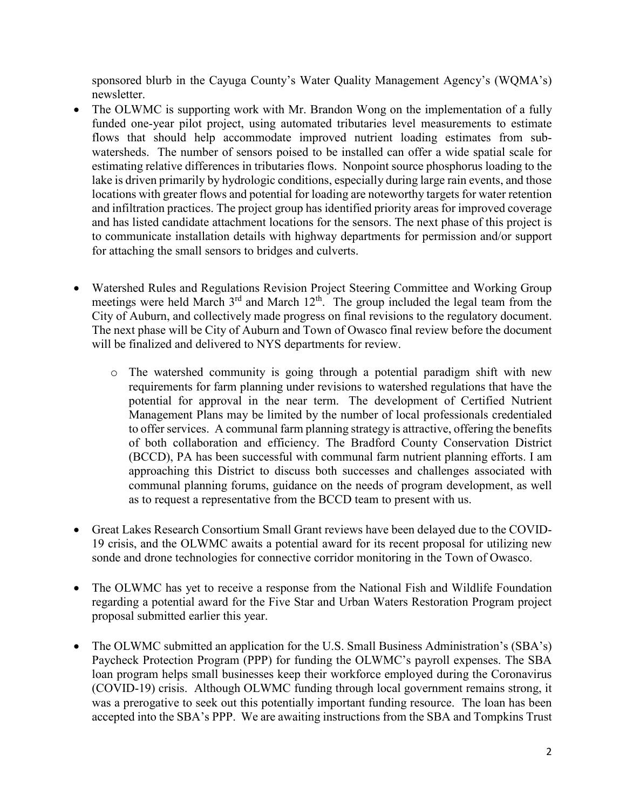sponsored blurb in the Cayuga County's Water Quality Management Agency's (WQMA's) newsletter.

- The OLWMC is supporting work with Mr. Brandon Wong on the implementation of a fully funded one-year pilot project, using automated tributaries level measurements to estimate flows that should help accommodate improved nutrient loading estimates from subwatersheds. The number of sensors poised to be installed can offer a wide spatial scale for estimating relative differences in tributaries flows. Nonpoint source phosphorus loading to the lake is driven primarily by hydrologic conditions, especially during large rain events, and those locations with greater flows and potential for loading are noteworthy targets for water retention and infiltration practices. The project group has identified priority areas for improved coverage and has listed candidate attachment locations for the sensors. The next phase of this project is to communicate installation details with highway departments for permission and/or support for attaching the small sensors to bridges and culverts.
- Watershed Rules and Regulations Revision Project Steering Committee and Working Group meetings were held March 3<sup>rd</sup> and March 12<sup>th</sup>. The group included the legal team from the City of Auburn, and collectively made progress on final revisions to the regulatory document. The next phase will be City of Auburn and Town of Owasco final review before the document will be finalized and delivered to NYS departments for review.
	- o The watershed community is going through a potential paradigm shift with new requirements for farm planning under revisions to watershed regulations that have the potential for approval in the near term. The development of Certified Nutrient Management Plans may be limited by the number of local professionals credentialed to offer services. A communal farm planning strategy is attractive, offering the benefits of both collaboration and efficiency. The Bradford County Conservation District (BCCD), PA has been successful with communal farm nutrient planning efforts. I am approaching this District to discuss both successes and challenges associated with communal planning forums, guidance on the needs of program development, as well as to request a representative from the BCCD team to present with us.
- Great Lakes Research Consortium Small Grant reviews have been delayed due to the COVID-19 crisis, and the OLWMC awaits a potential award for its recent proposal for utilizing new sonde and drone technologies for connective corridor monitoring in the Town of Owasco.
- The OLWMC has yet to receive a response from the National Fish and Wildlife Foundation regarding a potential award for the Five Star and Urban Waters Restoration Program project proposal submitted earlier this year.
- The OLWMC submitted an application for the U.S. Small Business Administration's (SBA's) Paycheck Protection Program (PPP) for funding the OLWMC's payroll expenses. The SBA loan program helps small businesses keep their workforce employed during the Coronavirus (COVID-19) crisis. Although OLWMC funding through local government remains strong, it was a prerogative to seek out this potentially important funding resource. The loan has been accepted into the SBA's PPP. We are awaiting instructions from the SBA and Tompkins Trust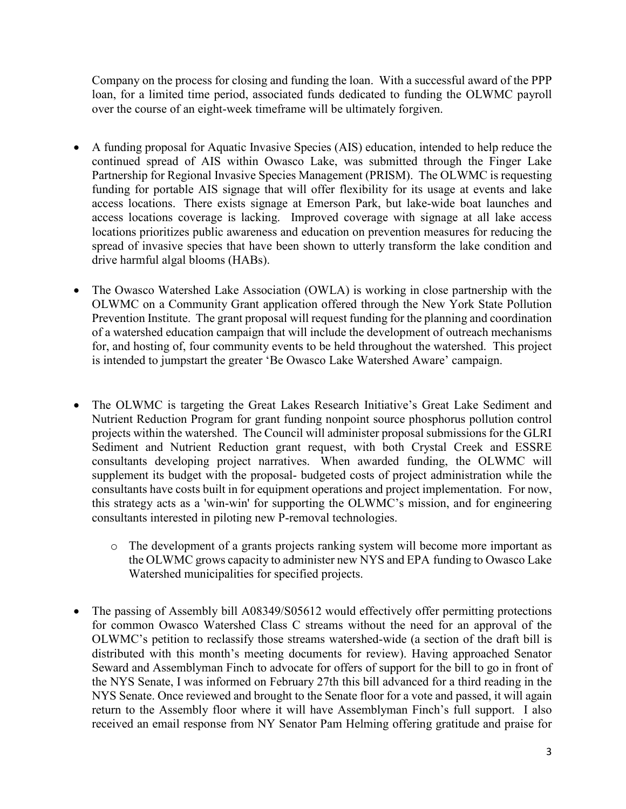Company on the process for closing and funding the loan. With a successful award of the PPP loan, for a limited time period, associated funds dedicated to funding the OLWMC payroll over the course of an eight-week timeframe will be ultimately forgiven.

- A funding proposal for Aquatic Invasive Species (AIS) education, intended to help reduce the continued spread of AIS within Owasco Lake, was submitted through the Finger Lake Partnership for Regional Invasive Species Management (PRISM). The OLWMC is requesting funding for portable AIS signage that will offer flexibility for its usage at events and lake access locations. There exists signage at Emerson Park, but lake-wide boat launches and access locations coverage is lacking. Improved coverage with signage at all lake access locations prioritizes public awareness and education on prevention measures for reducing the spread of invasive species that have been shown to utterly transform the lake condition and drive harmful algal blooms (HABs).
- The Owasco Watershed Lake Association (OWLA) is working in close partnership with the OLWMC on a Community Grant application offered through the New York State Pollution Prevention Institute. The grant proposal will request funding for the planning and coordination of a watershed education campaign that will include the development of outreach mechanisms for, and hosting of, four community events to be held throughout the watershed. This project is intended to jumpstart the greater 'Be Owasco Lake Watershed Aware' campaign.
- The OLWMC is targeting the Great Lakes Research Initiative's Great Lake Sediment and Nutrient Reduction Program for grant funding nonpoint source phosphorus pollution control projects within the watershed. The Council will administer proposal submissions for the GLRI Sediment and Nutrient Reduction grant request, with both Crystal Creek and ESSRE consultants developing project narratives. When awarded funding, the OLWMC will supplement its budget with the proposal- budgeted costs of project administration while the consultants have costs built in for equipment operations and project implementation. For now, this strategy acts as a 'win-win' for supporting the OLWMC's mission, and for engineering consultants interested in piloting new P-removal technologies.
	- o The development of a grants projects ranking system will become more important as the OLWMC grows capacity to administer new NYS and EPA funding to Owasco Lake Watershed municipalities for specified projects.
- The passing of Assembly bill A08349/S05612 would effectively offer permitting protections for common Owasco Watershed Class C streams without the need for an approval of the OLWMC's petition to reclassify those streams watershed-wide (a section of the draft bill is distributed with this month's meeting documents for review). Having approached Senator Seward and Assemblyman Finch to advocate for offers of support for the bill to go in front of the NYS Senate, I was informed on February 27th this bill advanced for a third reading in the NYS Senate. Once reviewed and brought to the Senate floor for a vote and passed, it will again return to the Assembly floor where it will have Assemblyman Finch's full support. I also received an email response from NY Senator Pam Helming offering gratitude and praise for